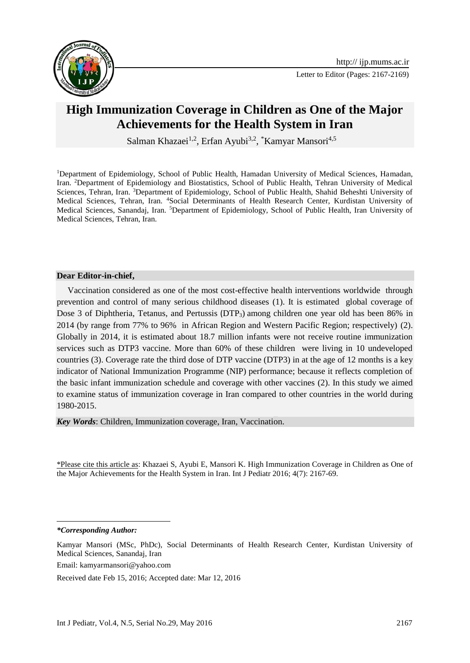

## **High Immunization Coverage in Children as One of the Major Achievements for the Health System in Iran**

Salman Khazaei<sup>1,2</sup>, Erfan Ayubi<sup>3,2</sup>, <sup>\*</sup>Kamyar Mansori<sup>4,5</sup>

<sup>1</sup>Department of Epidemiology, School of Public Health, Hamadan University of Medical Sciences, Hamadan, Iran. <sup>2</sup>Department of Epidemiology and Biostatistics, School of Public Health, Tehran University of Medical Sciences, Tehran, Iran. <sup>3</sup>Department of Epidemiology, School of Public Health, Shahid Beheshti University of Medical Sciences, Tehran, Iran. <sup>4</sup>Social Determinants of Health Research Center, Kurdistan University of Medical Sciences, Sanandaj, Iran. <sup>5</sup>Department of Epidemiology, School of Public Health, Iran University of Medical Sciences, Tehran, Iran.

## **Dear Editor-in-chief,**

 Vaccination considered as one of the most cost-effective health interventions worldwide through prevention and control of many serious childhood diseases [\(1\)](#page-2-0). It is estimated global coverage of Dose 3 of Diphtheria, Tetanus, and Pertussis (DTP<sub>3</sub>) among children one year old has been 86% in 2014 (by range from 77% to 96% in African Region and Western Pacific Region; respectively) [\(2\)](#page-2-1). Globally in 2014, it is estimated about 18.7 million infants were not receive routine immunization services such as DTP3 vaccine. More than 60% of these children were living in 10 undeveloped countries [\(3\)](#page-2-2). Coverage rate the third dose of DTP vaccine (DTP3) in at the age of 12 months is a key indicator of National Immunization Programme (NIP) performance; because it reflects completion of the basic infant immunization schedule and coverage with other vaccines [\(2\)](#page-2-1). In this study we aimed to examine status of immunization coverage in Iran compared to other countries in the world during 1980-2015.

*Key Words*: Children, Immunization coverage, Iran, Vaccination.

\*Please cite this article as: Khazaei S, Ayubi E, Mansori K. High Immunization Coverage in Children as One of the Major Achievements for the Health System in Iran. Int J Pediatr 2016; 4(7): 2167-69.

*\*Corresponding Author:*

1

Kamyar Mansori (MSc, PhDc), Social Determinants of Health Research Center, Kurdistan University of Medical Sciences, Sanandaj, Iran

Email: [kamyarmansori@yahoo.com](mailto:kamyarmansori@yahoo.com)

Received date Feb 15, 2016; Accepted date: Mar 12, 2016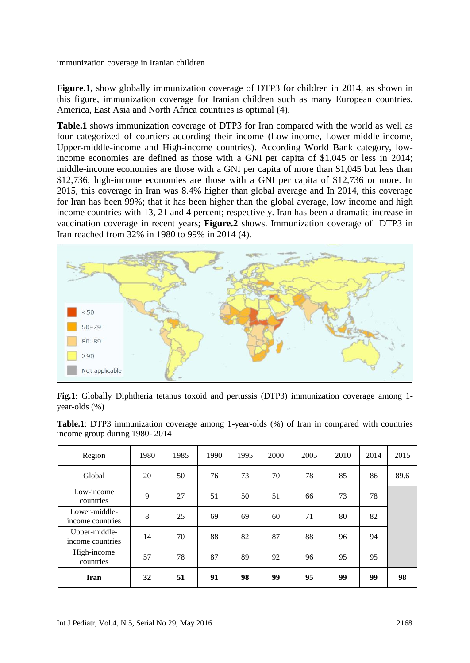**Figure.1,** show globally immunization coverage of DTP3 for children in 2014, as shown in this figure, immunization coverage for Iranian children such as many European countries, America, East Asia and North Africa countries is optimal [\(4\)](#page-2-3).

**Table.1** shows immunization coverage of DTP3 for Iran compared with the world as well as four categorized of courtiers according their income (Low-income, Lower-middle-income, Upper-middle-income and High-income countries). According World Bank category, lowincome economies are defined as those with a GNI per capita of \$1,045 or less in 2014; middle-income economies are those with a GNI per capita of more than \$1,045 but less than \$12,736; high-income economies are those with a GNI per capita of \$12,736 or more. In 2015, this coverage in Iran was 8.4% higher than global average and In 2014, this coverage for Iran has been 99%; that it has been higher than the global average, low income and high income countries with 13, 21 and 4 percent; respectively. Iran has been a dramatic increase in vaccination coverage in recent years; **Figure.2** shows. Immunization coverage of DTP3 in Iran reached from 32% in 1980 to 99% in 2014 [\(4\)](#page-2-3).



|               |  |  |  | Fig.1: Globally Diphtheria tetanus toxoid and pertussis (DTP3) immunization coverage among 1- |  |  |
|---------------|--|--|--|-----------------------------------------------------------------------------------------------|--|--|
| year-olds (%) |  |  |  |                                                                                               |  |  |

|  | <b>Table.1</b> : DTP3 immunization coverage among 1-year-olds (%) of Iran in compared with countries |  |  |  |  |  |
|--|------------------------------------------------------------------------------------------------------|--|--|--|--|--|
|  | income group during 1980-2014                                                                        |  |  |  |  |  |

| Region                            | 1980 | 1985 | 1990 | 1995 | 2000 | 2005 | 2010 | 2014 | 2015 |
|-----------------------------------|------|------|------|------|------|------|------|------|------|
| Global                            | 20   | 50   | 76   | 73   | 70   | 78   | 85   | 86   | 89.6 |
| Low-income<br>countries           | 9    | 27   | 51   | 50   | 51   | 66   | 73   | 78   |      |
| Lower-middle-<br>income countries | 8    | 25   | 69   | 69   | 60   | 71   | 80   | 82   |      |
| Upper-middle-<br>income countries | 14   | 70   | 88   | 82   | 87   | 88   | 96   | 94   |      |
| High-income<br>countries          | 57   | 78   | 87   | 89   | 92   | 96   | 95   | 95   |      |
| Iran                              | 32   | 51   | 91   | 98   | 99   | 95   | 99   | 99   | 98   |